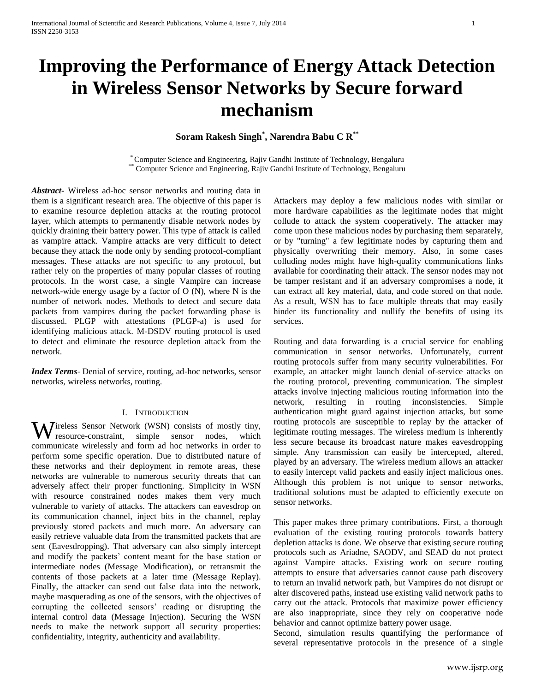# **Improving the Performance of Energy Attack Detection in Wireless Sensor Networks by Secure forward mechanism**

**Soram Rakesh Singh\* , Narendra Babu C R\*\***

\* Computer Science and Engineering, Rajiv Gandhi Institute of Technology, Bengaluru \*\* Computer Science and Engineering, Rajiv Gandhi Institute of Technology, Bengaluru

*Abstract***-** Wireless ad-hoc sensor networks and routing data in them is a significant research area. The objective of this paper is to examine resource depletion attacks at the routing protocol layer, which attempts to permanently disable network nodes by quickly draining their battery power. This type of attack is called as vampire attack. Vampire attacks are very difficult to detect because they attack the node only by sending protocol-compliant messages. These attacks are not specific to any protocol, but rather rely on the properties of many popular classes of routing protocols. In the worst case, a single Vampire can increase network-wide energy usage by a factor of O (N), where N is the number of network nodes. Methods to detect and secure data packets from vampires during the packet forwarding phase is discussed. PLGP with attestations (PLGP-a) is used for identifying malicious attack. M-DSDV routing protocol is used to detect and eliminate the resource depletion attack from the network.

*Index Terms*- Denial of service, routing, ad-hoc networks, sensor networks, wireless networks, routing.

## I. INTRODUCTION

*J***ireless Sensor Network (WSN) consists of mostly tiny,** Wireless Sensor Network (WSN) consists of mostly tiny, resource-constraint, simple sensor nodes, which communicate wirelessly and form ad hoc networks in order to perform some specific operation. Due to distributed nature of these networks and their deployment in remote areas, these networks are vulnerable to numerous security threats that can adversely affect their proper functioning. Simplicity in WSN with resource constrained nodes makes them very much vulnerable to variety of attacks. The attackers can eavesdrop on its communication channel, inject bits in the channel, replay previously stored packets and much more. An adversary can easily retrieve valuable data from the transmitted packets that are sent (Eavesdropping). That adversary can also simply intercept and modify the packets' content meant for the base station or intermediate nodes (Message Modification), or retransmit the contents of those packets at a later time (Message Replay). Finally, the attacker can send out false data into the network, maybe masquerading as one of the sensors, with the objectives of corrupting the collected sensors' reading or disrupting the internal control data (Message Injection). Securing the WSN needs to make the network support all security properties: confidentiality, integrity, authenticity and availability.

Attackers may deploy a few malicious nodes with similar or more hardware capabilities as the legitimate nodes that might collude to attack the system cooperatively. The attacker may come upon these malicious nodes by purchasing them separately, or by "turning" a few legitimate nodes by capturing them and physically overwriting their memory. Also, in some cases colluding nodes might have high-quality communications links available for coordinating their attack. The sensor nodes may not be tamper resistant and if an adversary compromises a node, it can extract all key material, data, and code stored on that node. As a result, WSN has to face multiple threats that may easily hinder its functionality and nullify the benefits of using its services.

Routing and data forwarding is a crucial service for enabling communication in sensor networks. Unfortunately, current routing protocols suffer from many security vulnerabilities. For example, an attacker might launch denial of-service attacks on the routing protocol, preventing communication. The simplest attacks involve injecting malicious routing information into the network, resulting in routing inconsistencies. Simple authentication might guard against injection attacks, but some routing protocols are susceptible to replay by the attacker of legitimate routing messages. The wireless medium is inherently less secure because its broadcast nature makes eavesdropping simple. Any transmission can easily be intercepted, altered, played by an adversary. The wireless medium allows an attacker to easily intercept valid packets and easily inject malicious ones. Although this problem is not unique to sensor networks, traditional solutions must be adapted to efficiently execute on sensor networks.

This paper makes three primary contributions. First, a thorough evaluation of the existing routing protocols towards battery depletion attacks is done. We observe that existing secure routing protocols such as Ariadne, SAODV, and SEAD do not protect against Vampire attacks. Existing work on secure routing attempts to ensure that adversaries cannot cause path discovery to return an invalid network path, but Vampires do not disrupt or alter discovered paths, instead use existing valid network paths to carry out the attack. Protocols that maximize power efficiency are also inappropriate, since they rely on cooperative node behavior and cannot optimize battery power usage.

Second, simulation results quantifying the performance of several representative protocols in the presence of a single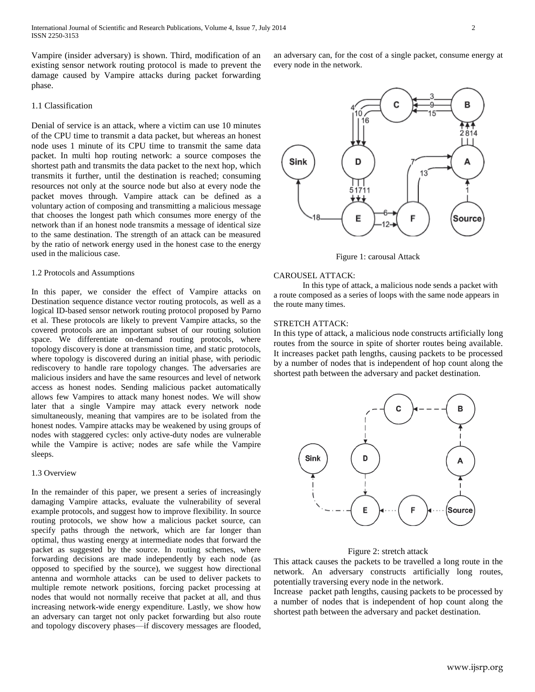Vampire (insider adversary) is shown. Third, modification of an existing sensor network routing protocol is made to prevent the damage caused by Vampire attacks during packet forwarding phase.

## 1.1 Classification

Denial of service is an attack, where a victim can use 10 minutes of the CPU time to transmit a data packet, but whereas an honest node uses 1 minute of its CPU time to transmit the same data packet. In multi hop routing network: a source composes the shortest path and transmits the data packet to the next hop, which transmits it further, until the destination is reached; consuming resources not only at the source node but also at every node the packet moves through. Vampire attack can be defined as a voluntary action of composing and transmitting a malicious message that chooses the longest path which consumes more energy of the network than if an honest node transmits a message of identical size to the same destination. The strength of an attack can be measured by the ratio of network energy used in the honest case to the energy used in the malicious case.

## 1.2 Protocols and Assumptions

In this paper, we consider the effect of Vampire attacks on Destination sequence distance vector routing protocols, as well as a logical ID-based sensor network routing protocol proposed by Parno et al. These protocols are likely to prevent Vampire attacks, so the covered protocols are an important subset of our routing solution space. We differentiate on-demand routing protocols, where topology discovery is done at transmission time, and static protocols, where topology is discovered during an initial phase, with periodic rediscovery to handle rare topology changes. The adversaries are malicious insiders and have the same resources and level of network access as honest nodes. Sending malicious packet automatically allows few Vampires to attack many honest nodes. We will show later that a single Vampire may attack every network node simultaneously, meaning that vampires are to be isolated from the honest nodes. Vampire attacks may be weakened by using groups of nodes with staggered cycles: only active-duty nodes are vulnerable while the Vampire is active; nodes are safe while the Vampire sleeps.

## 1.3 Overview

In the remainder of this paper, we present a series of increasingly damaging Vampire attacks, evaluate the vulnerability of several example protocols, and suggest how to improve flexibility. In source routing protocols, we show how a malicious packet source, can specify paths through the network, which are far longer than optimal, thus wasting energy at intermediate nodes that forward the packet as suggested by the source. In routing schemes, where forwarding decisions are made independently by each node (as opposed to specified by the source), we suggest how directional antenna and wormhole attacks can be used to deliver packets to multiple remote network positions, forcing packet processing at nodes that would not normally receive that packet at all, and thus increasing network-wide energy expenditure. Lastly, we show how an adversary can target not only packet forwarding but also route and topology discovery phases—if discovery messages are flooded, an adversary can, for the cost of a single packet, consume energy at every node in the network.



Figure 1: carousal Attack

#### CAROUSEL ATTACK:

 In this type of attack, a malicious node sends a packet with a route composed as a series of loops with the same node appears in the route many times.

## STRETCH ATTACK:

In this type of attack, a malicious node constructs artificially long routes from the source in spite of shorter routes being available. It increases packet path lengths, causing packets to be processed by a number of nodes that is independent of hop count along the shortest path between the adversary and packet destination.



## Figure 2: stretch attack

This attack causes the packets to be travelled a long route in the network. An adversary constructs artificially long routes, potentially traversing every node in the network.

Increase packet path lengths, causing packets to be processed by a number of nodes that is independent of hop count along the shortest path between the adversary and packet destination.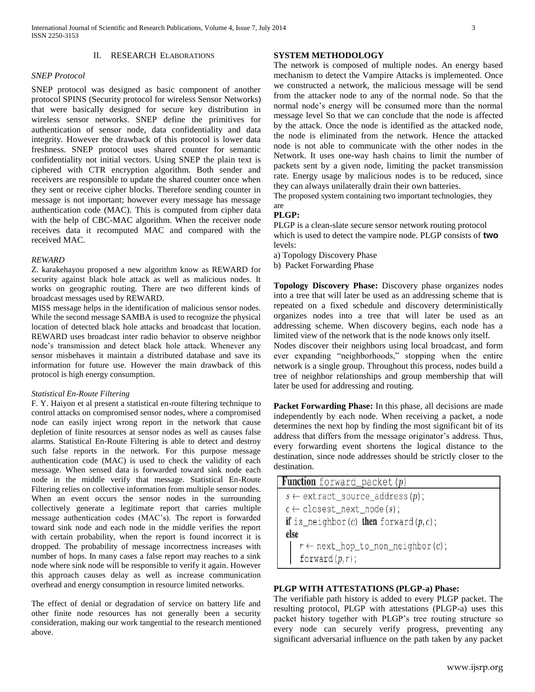## II. RESEARCH ELABORATIONS

# *SNEP Protocol*

SNEP protocol was designed as basic component of another protocol SPINS (Security protocol for wireless Sensor Networks) that were basically designed for secure key distribution in wireless sensor networks. SNEP define the primitives for authentication of sensor node, data confidentiality and data integrity. However the drawback of this protocol is lower data freshness. SNEP protocol uses shared counter for semantic confidentiality not initial vectors. Using SNEP the plain text is ciphered with CTR encryption algorithm. Both sender and receivers are responsible to update the shared counter once when they sent or receive cipher blocks. Therefore sending counter in message is not important; however every message has message authentication code (MAC). This is computed from cipher data with the help of CBC-MAC algorithm. When the receiver node receives data it recomputed MAC and compared with the received MAC.

#### *REWARD*

Z. karakehayou proposed a new algorithm know as REWARD for security against black hole attack as well as malicious nodes. It works on geographic routing. There are two different kinds of broadcast messages used by REWARD.

MISS message helps in the identification of malicious sensor nodes. While the second message SAMBA is used to recognize the physical location of detected black hole attacks and broadcast that location. REWARD uses broadcast inter radio behavior to observe neighbor node's transmission and detect black hole attack. Whenever any sensor misbehaves it maintain a distributed database and save its information for future use. However the main drawback of this protocol is high energy consumption.

#### *Statistical En-Route Filtering*

F. Y. Haiyon et al present a statistical en-route filtering technique to control attacks on compromised sensor nodes, where a compromised node can easily inject wrong report in the network that cause depletion of finite resources at sensor nodes as well as causes false alarms. Statistical En-Route Filtering is able to detect and destroy such false reports in the network. For this purpose message authentication code (MAC) is used to check the validity of each message. When sensed data is forwarded toward sink node each node in the middle verify that message. Statistical En-Route Filtering relies on collective information from multiple sensor nodes. When an event occurs the sensor nodes in the surrounding collectively generate a legitimate report that carries multiple message authentication codes (MAC's). The report is forwarded toward sink node and each node in the middle verifies the report with certain probability, when the report is found incorrect it is dropped. The probability of message incorrectness increases with number of hops. In many cases a false report may reaches to a sink node where sink node will be responsible to verify it again. However this approach causes delay as well as increase communication overhead and energy consumption in resource limited networks.

The effect of denial or degradation of service on battery life and other finite node resources has not generally been a security consideration, making our work tangential to the research mentioned above.

# **SYSTEM METHODOLOGY**

The network is composed of multiple nodes. An energy based mechanism to detect the Vampire Attacks is implemented. Once we constructed a network, the malicious message will be send from the attacker node to any of the normal node. So that the normal node's energy will be consumed more than the normal message level So that we can conclude that the node is affected by the attack. Once the node is identified as the attacked node, the node is eliminated from the network. Hence the attacked node is not able to communicate with the other nodes in the Network. It uses one-way hash chains to limit the number of packets sent by a given node, limiting the packet transmission rate. Energy usage by malicious nodes is to be reduced, since they can always unilaterally drain their own batteries.

The proposed system containing two important technologies, they are

# **PLGP:**

PLGP is a clean-slate secure sensor network routing protocol which is used to detect the vampire node. PLGP consists of **two**  levels:

a) Topology Discovery Phase

b) Packet Forwarding Phase

**Topology Discovery Phase:** Discovery phase organizes nodes into a tree that will later be used as an addressing scheme that is repeated on a fixed schedule and discovery deterministically organizes nodes into a tree that will later be used as an addressing scheme. When discovery begins, each node has a limited view of the network that is the node knows only itself.

Nodes discover their neighbors using local broadcast, and form ever expanding "neighborhoods," stopping when the entire network is a single group. Throughout this process, nodes build a tree of neighbor relationships and group membership that will later be used for addressing and routing.

**Packet Forwarding Phase:** In this phase, all decisions are made independently by each node. When receiving a packet, a node determines the next hop by finding the most significant bit of its address that differs from the message originator's address. Thus, every forwarding event shortens the logical distance to the destination, since node addresses should be strictly closer to the destination.

| <b>Function</b> forward packet $(p)$          |
|-----------------------------------------------|
| $s \leftarrow$ extract_source_address(p);     |
| $c \leftarrow \text{closest\_next\_node}(s);$ |
| if is_neighbor(c) then forward( $p, c$ );     |
| else                                          |
| $r \leftarrow$ next_hop_to_non_neighbor(c);   |
| forward $(p, r)$ ;                            |

# **PLGP WITH ATTESTATIONS (PLGP-a) Phase:**

The verifiable path history is added to every PLGP packet. The resulting protocol, PLGP with attestations (PLGP-a) uses this packet history together with PLGP's tree routing structure so every node can securely verify progress, preventing any significant adversarial influence on the path taken by any packet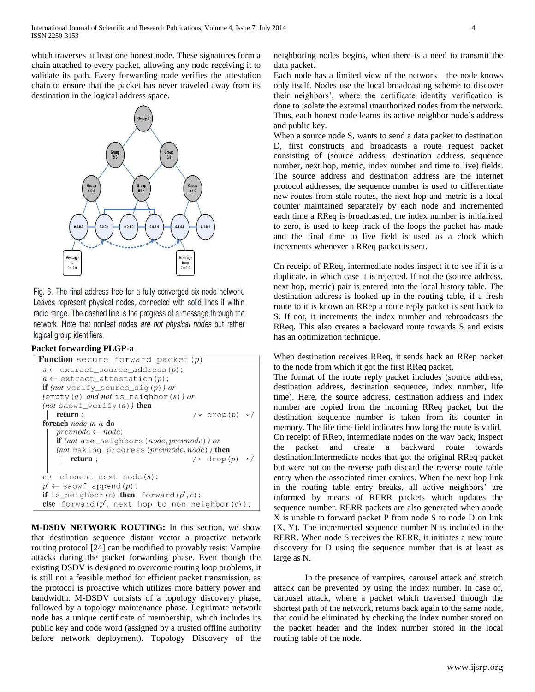which traverses at least one honest node. These signatures form a chain attached to every packet, allowing any node receiving it to validate its path. Every forwarding node verifies the attestation chain to ensure that the packet has never traveled away from its destination in the logical address space.



Fig. 6. The final address tree for a fully converged six-node network. Leaves represent physical nodes, connected with solid lines if within radio range. The dashed line is the progress of a message through the network. Note that nonleaf nodes are not physical nodes but rather logical group identifiers.

# **Packet forwarding PLGP-a**

| <b>Function</b> secure forward packet $(p)$                   |                           |  |
|---------------------------------------------------------------|---------------------------|--|
| $s \leftarrow$ extract_source_address(p);                     |                           |  |
| $a \leftarrow$ extract_attestation(p);                        |                           |  |
| if (not verify_source_sig(p)) or                              |                           |  |
| (empty $(a)$ and not is neighbor $(s)$ ) or                   |                           |  |
| (not saowf verify $(a)$ ) then                                |                           |  |
| return ;                                                      | $/\star$ drop(p) $\star/$ |  |
| foreach <i>node in a</i> do                                   |                           |  |
| $prevnode \leftarrow node;$                                   |                           |  |
| <b>if</b> (not are_neighbors (node, prevnode)) or             |                           |  |
| $(not$ making progress ( $prevnode, node$ ) then              |                           |  |
| return :                                                      | $/\star$ drop(p) $\star/$ |  |
|                                                               |                           |  |
| $c \leftarrow$ closest next node(s);                          |                           |  |
| $p' \leftarrow \texttt{sawf\_append}(p)$ ;                    |                           |  |
| if is neighbor(c) then forward( $p', c$ );                    |                           |  |
| <b>else</b> forward( $p'$ , next_hop_to_non_neighbor( $c$ )); |                           |  |

**M-DSDV NETWORK ROUTING:** In this section, we show that destination sequence distant vector a proactive network routing protocol [24] can be modified to provably resist Vampire attacks during the packet forwarding phase. Even though the existing DSDV is designed to overcome routing loop problems, it is still not a feasible method for efficient packet transmission, as the protocol is proactive which utilizes more battery power and bandwidth. M-DSDV consists of a topology discovery phase, followed by a topology maintenance phase. Legitimate network node has a unique certificate of membership, which includes its public key and code word (assigned by a trusted offline authority before network deployment). Topology Discovery of the neighboring nodes begins, when there is a need to transmit the data packet.

Each node has a limited view of the network—the node knows only itself. Nodes use the local broadcasting scheme to discover their neighbors', where the certificate identity verification is done to isolate the external unauthorized nodes from the network. Thus, each honest node learns its active neighbor node's address and public key.

When a source node S, wants to send a data packet to destination D, first constructs and broadcasts a route request packet consisting of (source address, destination address, sequence number, next hop, metric, index number and time to live) fields. The source address and destination address are the internet protocol addresses, the sequence number is used to differentiate new routes from stale routes, the next hop and metric is a local counter maintained separately by each node and incremented each time a RReq is broadcasted, the index number is initialized to zero, is used to keep track of the loops the packet has made and the final time to live field is used as a clock which increments whenever a RReq packet is sent.

On receipt of RReq, intermediate nodes inspect it to see if it is a duplicate, in which case it is rejected. If not the (source address, next hop, metric) pair is entered into the local history table. The destination address is looked up in the routing table, if a fresh route to it is known an RRep a route reply packet is sent back to S. If not, it increments the index number and rebroadcasts the RReq. This also creates a backward route towards S and exists has an optimization technique.

When destination receives RReq, it sends back an RRep packet to the node from which it got the first RReq packet.

The format of the route reply packet includes (source address, destination address, destination sequence, index number, life time). Here, the source address, destination address and index number are copied from the incoming RReq packet, but the destination sequence number is taken from its counter in memory. The life time field indicates how long the route is valid. On receipt of RRep, intermediate nodes on the way back, inspect the packet and create a backward route towards destination.Intermediate nodes that got the original RReq packet but were not on the reverse path discard the reverse route table entry when the associated timer expires. When the next hop link in the routing table entry breaks, all active neighbors' are informed by means of RERR packets which updates the sequence number. RERR packets are also generated when anode X is unable to forward packet P from node S to node D on link  $(X, Y)$ . The incremented sequence number N is included in the RERR. When node S receives the RERR, it initiates a new route discovery for D using the sequence number that is at least as large as N.

In the presence of vampires, carousel attack and stretch attack can be prevented by using the index number. In case of, carousel attack, where a packet which traversed through the shortest path of the network, returns back again to the same node, that could be eliminated by checking the index number stored on the packet header and the index number stored in the local routing table of the node.